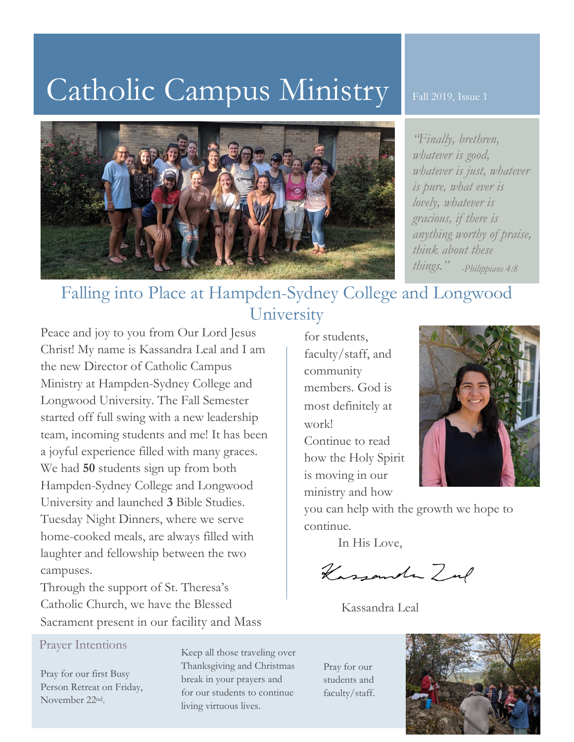# Catholic Campus Ministry



Fall 2019, Issue 1

*"Finally, brethren, whatever is good, whatever is just, whatever is pure, what ever is lovely, whatever is gracious, if there is anything worthy of praise, think about these things." -Philippians 4:8*

## Falling into Place at Hampden-Sydney College and Longwood University

Peace and joy to you from Our Lord Jesus Christ! My name is Kassandra Leal and I am the new Director of Catholic Campus Ministry at Hampden-Sydney College and Longwood University. The Fall Semester started off full swing with a new leadership team, incoming students and me! It has been a joyful experience filled with many graces. We had **50** students sign up from both Hampden-Sydney College and Longwood University and launched **3** Bible Studies. Tuesday Night Dinners, where we serve home-cooked meals, are always filled with laughter and fellowship between the two campuses.

Through the support of St. Theresa's Catholic Church, we have the Blessed Sacrament present in our facility and Mass

### Prayer Intentions

Pray for our first Busy Person Retreat on Friday, November 22nd.

Keep all those traveling over Thanksgiving and Christmas break in your prayers and for our students to continue living virtuous lives.

for students, faculty/staff, and community members. God is most definitely at work! Continue to read

how the Holy Spirit is moving in our ministry and how



you can help with the growth we hope to continue.

In His Love,

Kassander Zul

Kassandra Leal

Pray for our students and faculty/staff.

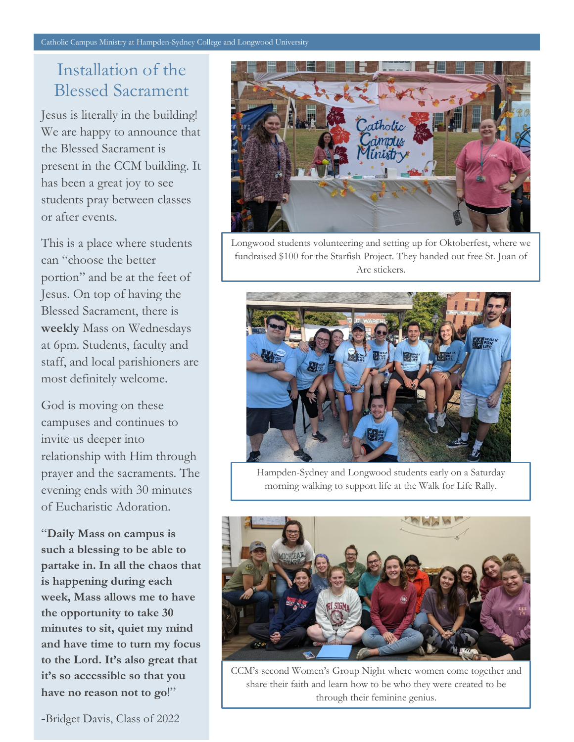### Installation of the Blessed Sacrament

Jesus is literally in the building! We are happy to announce that the Blessed Sacrament is present in the CCM building. It has been a great joy to see students pray between classes or after events.

This is a place where students can "choose the better portion" and be at the feet of Jesus. On top of having the Blessed Sacrament, there is **weekly** Mass on Wednesdays at 6pm. Students, faculty and staff, and local parishioners are most definitely welcome.

God is moving on these campuses and continues to invite us deeper into relationship with Him through prayer and the sacraments. The evening ends with 30 minutes of Eucharistic Adoration.

"**Daily Mass on campus is such a blessing to be able to partake in. In all the chaos that is happening during each week, Mass allows me to have the opportunity to take 30 minutes to sit, quiet my mind and have time to turn my focus to the Lord. It's also great that it's so accessible so that you have no reason not to go**!"



Longwood students volunteering and setting up for Oktoberfest, where we fundraised \$100 for the Starfish Project. They handed out free St. Joan of Arc stickers.



Hampden-Sydney and Longwood students early on a Saturday morning walking to support life at the Walk for Life Rally.



CCM's second Women's Group Night where women come together and share their faith and learn how to be who they were created to be through their feminine genius.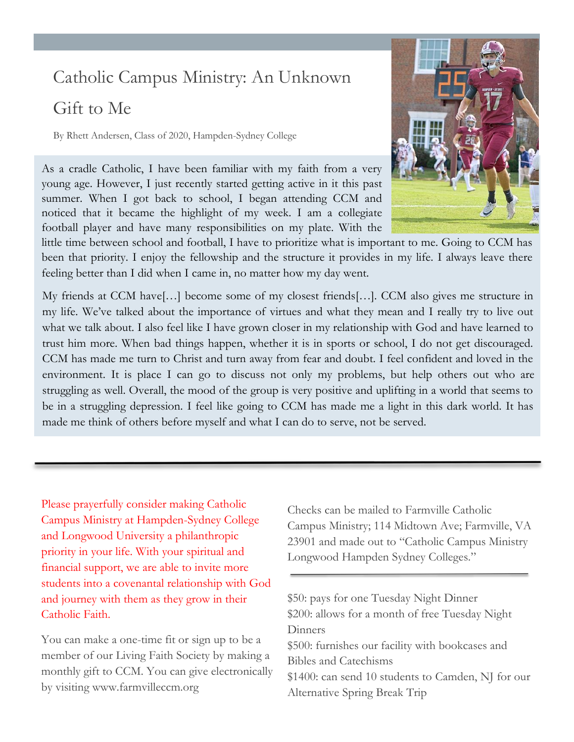# Catholic Campus Ministry: An Unknown

## Gift to Me

By Rhett Andersen, Class of 2020, Hampden-Sydney College

As a cradle Catholic, I have been familiar with my faith from a very young age. However, I just recently started getting active in it this past summer. When I got back to school, I began attending CCM and noticed that it became the highlight of my week. I am a collegiate football player and have many responsibilities on my plate. With the



My friends at CCM have[…] become some of my closest friends[…]. CCM also gives me structure in my life. We've talked about the importance of virtues and what they mean and I really try to live out what we talk about. I also feel like I have grown closer in my relationship with God and have learned to trust him more. When bad things happen, whether it is in sports or school, I do not get discouraged. CCM has made me turn to Christ and turn away from fear and doubt. I feel confident and loved in the environment. It is place I can go to discuss not only my problems, but help others out who are struggling as well. Overall, the mood of the group is very positive and uplifting in a world that seems to be in a struggling depression. I feel like going to CCM has made me a light in this dark world. It has made me think of others before myself and what I can do to serve, not be served.

Please prayerfully consider making Catholic Campus Ministry at Hampden-Sydney College and Longwood University a philanthropic priority in your life. With your spiritual and financial support, we are able to invite more students into a covenantal relationship with God and journey with them as they grow in their Catholic Faith.

You can make a one-time fit or sign up to be a member of our Living Faith Society by making a monthly gift to CCM. You can give electronically by visiting www.farmvilleccm.org

Checks can be mailed to Farmville Catholic Campus Ministry; 114 Midtown Ave; Farmville, VA 23901 and made out to "Catholic Campus Ministry Longwood Hampden Sydney Colleges."

\$50: pays for one Tuesday Night Dinner \$200: allows for a month of free Tuesday Night **Dinners** \$500: furnishes our facility with bookcases and Bibles and Catechisms \$1400: can send 10 students to Camden, NJ for our Alternative Spring Break Trip